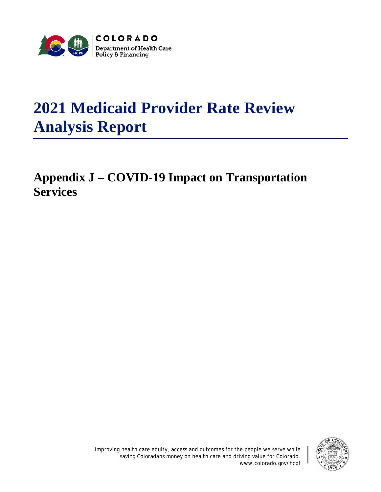

# **2021 Medicaid Provider Rate Review Analysis Report**

# **Appendix J – COVID-19 Impact on Transportation Services**

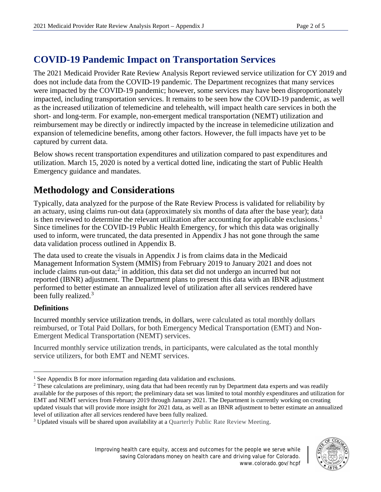# **COVID-19 Pandemic Impact on Transportation Services**

The 2021 Medicaid Provider Rate Review Analysis Report reviewed service utilization for CY 2019 and does not include data from the COVID-19 pandemic. The Department recognizes that many services were impacted by the COVID-19 pandemic; however, some services may have been disproportionately impacted, including transportation services. It remains to be seen how the COVID-19 pandemic, as well as the increased utilization of telemedicine and telehealth, will impact health care services in both the short- and long-term. For example, non-emergent medical transportation (NEMT) utilization and reimbursement may be directly or indirectly impacted by the increase in telemedicine utilization and expansion of telemedicine benefits, among other factors. However, the full impacts have yet to be captured by current data.

Below shows recent transportation expenditures and utilization compared to past expenditures and utilization. March 15, 2020 is noted by a vertical dotted line, indicating the start of Public Health Emergency guidance and mandates.

# **Methodology and Considerations**

Typically, data analyzed for the purpose of the Rate Review Process is validated for reliability by an actuary, using claims run-out data (approximately six months of data after the base year); data is then reviewed to determine the relevant utilization after accounting for applicable exclusions.<sup>[1](#page-1-0)</sup> Since timelines for the COVID-19 Public Health Emergency, for which this data was originally used to inform, were truncated, the data presented in Appendix J has not gone through the same data validation process outlined in Appendix B.

The data used to create the visuals in Appendix J is from claims data in the Medicaid Management Information System (MMIS) from February 2019 to January 2021 and does not include claims run-out data; [2](#page-1-1) in addition, this data set did not undergo an incurred but not reported (IBNR) adjustment. The Department plans to present this data with an IBNR adjustment performed to better estimate an annualized level of utilization after all services rendered have been fully realized.<sup>[3](#page-1-2)</sup>

#### **Definitions**

 $\overline{a}$ 

Incurred monthly service utilization trends, in dollars, were calculated as total monthly dollars reimbursed, or Total Paid Dollars, for both Emergency Medical Transportation (EMT) and Non-Emergent Medical Transportation (NEMT) services.

Incurred monthly service utilization trends, in participants, were calculated as the total monthly service utilizers, for both EMT and NEMT services.



<span id="page-1-0"></span><sup>&</sup>lt;sup>1</sup> See Appendix B for more information regarding data validation and exclusions.

<span id="page-1-1"></span><sup>&</sup>lt;sup>2</sup> These calculations are preliminary, using data that had been recently run by Department data experts and was readily available for the purposes of this report; the preliminary data set was limited to total monthly expenditures and utilization for EMT and NEMT services from February 2019 through January 2021. The Department is currently working on creating updated visuals that will provide more insight for 2021 data, as well as an IBNR adjustment to better estimate an annualized

<span id="page-1-2"></span>level of utilization after all services rendered have been fully realized.<br><sup>3</sup> Updated visuals will be shared upon availability at a Quarterly Public Rate Review Meeting.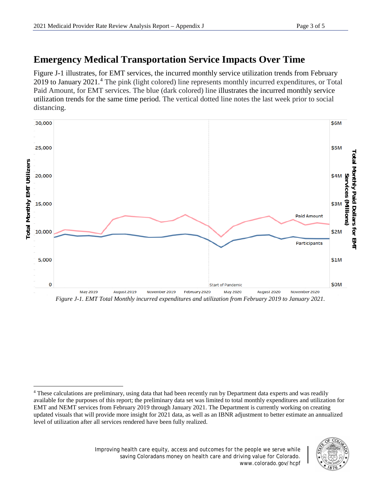# **Emergency Medical Transportation Service Impacts Over Time**

Figure J-1 illustrates, for EMT services, the incurred monthly service utilization trends from February 2019 to January 2021.<sup>[4](#page-2-0)</sup> The pink (light colored) line represents monthly incurred expenditures, or Total Paid Amount, for EMT services. The blue (dark colored) line illustrates the incurred monthly service utilization trends for the same time period. The vertical dotted line notes the last week prior to social distancing.



*Figure J-1. EMT Total Monthly incurred expenditures and utilization from February 2019 to January 2021.*



<span id="page-2-0"></span>l <sup>4</sup> These calculations are preliminary, using data that had been recently run by Department data experts and was readily available for the purposes of this report; the preliminary data set was limited to total monthly expenditures and utilization for EMT and NEMT services from February 2019 through January 2021. The Department is currently working on creating updated visuals that will provide more insight for 2021 data, as well as an IBNR adjustment to better estimate an annualized level of utilization after all services rendered have been fully realized.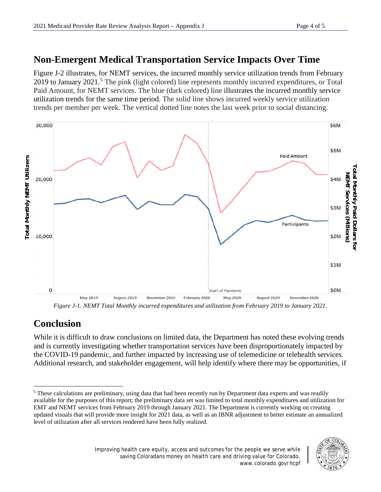### **Non-Emergent Medical Transportation Service Impacts Over Time**

Figure J-2 illustrates, for NEMT services, the incurred monthly service utilization trends from February 2019 to January 2021.<sup>[5](#page-3-0)</sup> The pink (light colored) line represents monthly incurred expenditures, or Total Paid Amount, for NEMT services. The blue (dark colored) line illustrates the incurred monthly service utilization trends for the same time period. The solid line shows incurred weekly service utilization trends per member per week. The vertical dotted line notes the last week prior to social distancing.



*Figure J-1. NEMT Total Monthly incurred expenditures and utilization from February 2019 to January 2021.*

# **Conclusion**

l

While it is difficult to draw conclusions on limited data, the Department has noted these evolving trends and is currently investigating whether transportation services have been disproportionately impacted by the COVID-19 pandemic, and further impacted by increasing use of telemedicine or telehealth services. Additional research, and stakeholder engagement, will help identify where there may be opportunities, if

<span id="page-3-0"></span><sup>&</sup>lt;sup>5</sup> These calculations are preliminary, using data that had been recently run by Department data experts and was readily available for the purposes of this report; the preliminary data set was limited to total monthly expenditures and utilization for EMT and NEMT services from February 2019 through January 2021. The Department is currently working on creating updated visuals that will provide more insight for 2021 data, as well as an IBNR adjustment to better estimate an annualized level of utilization after all services rendered have been fully realized.